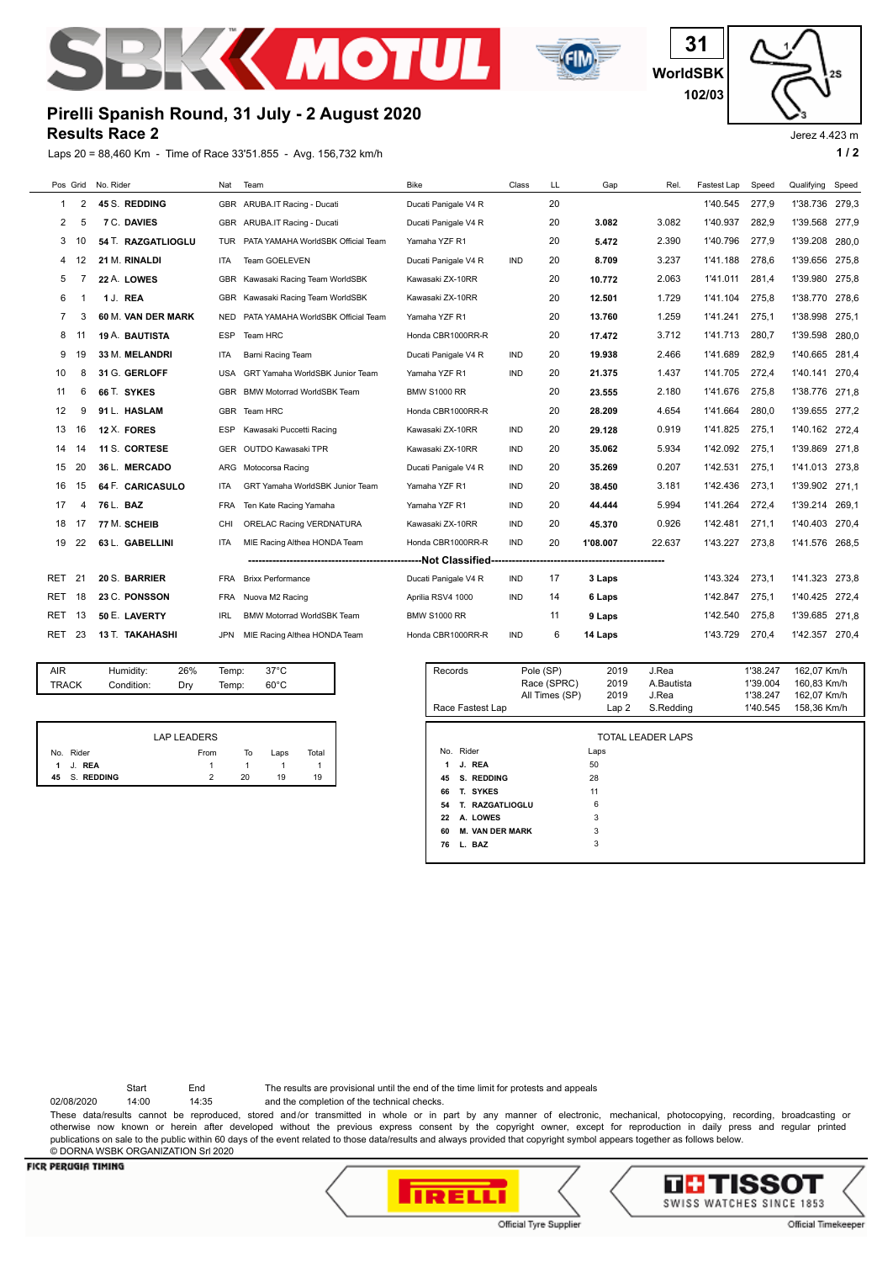



**WorldSBK 31 102/03**

Jerez 4.423 m

# **Results Race 2 Pirelli Spanish Round, 31 July - 2 August 2020**

Laps 20 = 88,460 Km - Time of Race 33'51.855 - Avg. 156,732 km/h **1 and 2 1 and 2 1 and 2 1 a 1 a 1 a 1 a 1 a 1 a 1 a 1 a 1 a 1 a 1 a 1 a 1 a 1 a 1 a 1 a 1 a 1 a 1 a 1 a 1 a**

| Pos Grid |                                                    | No. Rider          | Nat        | Team                               | <b>Bike</b>          | Class      | LL. | Gap      | Rel.   | Fastest Lap | Speed | Qualifying     | Speed |
|----------|----------------------------------------------------|--------------------|------------|------------------------------------|----------------------|------------|-----|----------|--------|-------------|-------|----------------|-------|
| -1       | 2                                                  | 45 S. REDDING      | <b>GBR</b> | ARUBA.IT Racing - Ducati           | Ducati Panigale V4 R |            | 20  |          |        | 1'40.545    | 277.9 | 1'38.736       | 279.3 |
| 2        | 5                                                  | 7 C. DAVIES        |            | GBR ARUBA.IT Racing - Ducati       | Ducati Panigale V4 R |            | 20  | 3.082    | 3.082  | 1'40.937    | 282.9 | 1'39.568       | 277.9 |
|          |                                                    |                    |            |                                    |                      |            |     |          |        |             |       |                |       |
| 3        | 10                                                 | 54 T. RAZGATLIOGLU | <b>TUR</b> | PATA YAMAHA WorldSBK Official Team | Yamaha YZF R1        |            | 20  | 5.472    | 2.390  | 1'40.796    | 277.9 | 1'39.208       | 280.0 |
| 4        | 12                                                 | 21 M. RINALDI      | <b>ITA</b> | Team GOELEVEN                      | Ducati Panigale V4 R | <b>IND</b> | 20  | 8.709    | 3.237  | 1'41.188    | 278,6 | 1'39.656       | 275.8 |
| 5        |                                                    | 22 A. LOWES        | <b>GBR</b> | Kawasaki Racing Team WorldSBK      | Kawasaki ZX-10RR     |            | 20  | 10.772   | 2.063  | 1'41.011    | 281.4 | 1'39.980       | 275,8 |
| 6        |                                                    | 1 J. REA           |            | GBR Kawasaki Racing Team WorldSBK  | Kawasaki ZX-10RR     |            | 20  | 12.501   | 1.729  | 1'41.104    | 275,8 | 1'38.770       | 278,6 |
| 7        | 3                                                  | 60 M. VAN DER MARK | <b>NED</b> | PATA YAMAHA WorldSBK Official Team | Yamaha YZF R1        |            | 20  | 13.760   | 1.259  | 1'41.241    | 275.1 | 1'38.998       | 275,1 |
| 8        |                                                    | 19 A. BAUTISTA     | <b>ESP</b> | Team HRC                           | Honda CBR1000RR-R    |            | 20  | 17.472   | 3.712  | 1'41.713    | 280.7 | 1'39.598       | 280,0 |
| 9        | 19                                                 | 33 M. MELANDRI     | <b>ITA</b> | Barni Racing Team                  | Ducati Panigale V4 R | <b>IND</b> | 20  | 19.938   | 2.466  | 1'41.689    | 282.9 | 1'40.665       | 281.4 |
| 10       | 8                                                  | 31 G. GERLOFF      | <b>USA</b> | GRT Yamaha WorldSBK Junior Team    | Yamaha YZF R1        | <b>IND</b> | 20  | 21.375   | 1.437  | 1'41.705    | 272.4 | 1'40.141       | 270.4 |
| 11       | 6                                                  | 66 T. SYKES        | <b>GBR</b> | <b>BMW Motorrad WorldSBK Team</b>  | <b>BMW S1000 RR</b>  |            | 20  | 23.555   | 2.180  | 1'41.676    | 275.8 | 1'38.776       | 271.8 |
| 12       | 9                                                  | 91 L. HASLAM       | <b>GBR</b> | Team HRC                           | Honda CBR1000RR-R    |            | 20  | 28.209   | 4.654  | 1'41.664    | 280,0 | 1'39.655       | 277.2 |
| 13       | 16                                                 | 12 X. FORES        | <b>ESP</b> | Kawasaki Puccetti Racing           | Kawasaki ZX-10RR     | <b>IND</b> | 20  | 29.128   | 0.919  | 1'41.825    | 275,1 | 1'40.162 272,4 |       |
| 14       | 14                                                 | 11 S. CORTESE      | <b>GER</b> | OUTDO Kawasaki TPR                 | Kawasaki ZX-10RR     | <b>IND</b> | 20  | 35.062   | 5.934  | 1'42.092    | 275.1 | 1'39.869       | 271,8 |
| 15       | 20                                                 | 36 L. MERCADO      |            | ARG Motocorsa Racing               | Ducati Panigale V4 R | <b>IND</b> | 20  | 35.269   | 0.207  | 1'42.531    | 275.1 | 1'41.013       | 273,8 |
| 16       | 15                                                 | 64 F. CARICASULO   | <b>ITA</b> | GRT Yamaha WorldSBK Junior Team    | Yamaha YZF R1        | <b>IND</b> | 20  | 38.450   | 3.181  | 1'42.436    | 273.1 | 1'39.902       | 271.1 |
| 17       | 4                                                  | 76 L. BAZ          | <b>FRA</b> | Ten Kate Racing Yamaha             | Yamaha YZF R1        | <b>IND</b> | 20  | 44.444   | 5.994  | 1'41.264    | 272.4 | 1'39.214       | 269.1 |
| 18       | 17                                                 | 77 M. SCHEIB       | <b>CHI</b> | ORELAC Racing VERDNATURA           | Kawasaki ZX-10RR     | <b>IND</b> | 20  | 45.370   | 0.926  | 1'42.481    | 271,1 | 1'40.403       | 270,4 |
| 19       | 22                                                 | 63 L. GABELLINI    | <b>ITA</b> | MIE Racing Althea HONDA Team       | Honda CBR1000RR-R    | <b>IND</b> | 20  | 1'08.007 | 22.637 | 1'43.227    | 273.8 | 1'41.576       | 268.5 |
|          | ---------<br>------------------------------------- |                    |            |                                    |                      |            |     |          |        |             |       |                |       |
| RET      | 21                                                 | 20 S. BARRIER      | FRA        | <b>Brixx Performance</b>           | Ducati Panigale V4 R | IND.       | 17  | 3 Laps   |        | 1'43.324    | 273.1 | 1'41.323       | 273.8 |
| RET      | 18                                                 | 23 C. PONSSON      | <b>FRA</b> | Nuova M2 Racing                    | Aprilia RSV4 1000    | <b>IND</b> | 14  | 6 Laps   |        | 1'42.847    | 275,1 | 1'40.425       | 272,4 |
| RET      | 13                                                 | 50 E. LAVERTY      | <b>IRL</b> | <b>BMW Motorrad WorldSBK Team</b>  | <b>BMW S1000 RR</b>  |            | 11  | 9 Laps   |        | 1'42.540    | 275,8 | 1'39.685       | 271,8 |
| RET      | 23                                                 | 13 T. TAKAHASHI    | <b>JPN</b> | MIE Racing Althea HONDA Team       | Honda CBR1000RR-R    | <b>IND</b> | 6   | 14 Laps  |        | 1'43.729    | 270.4 | 1'42.357       | 270,4 |
|          |                                                    |                    |            |                                    |                      |            |     |          |        |             |       |                |       |

| AIR   | Humidity:  | 26% | Temp: | 37°C           |  |
|-------|------------|-----|-------|----------------|--|
| TRACK | Condition: | Dry | Temp: | $60^{\circ}$ C |  |
|       |            |     |       |                |  |

|     |            | LAP LEADERS |    |      |       |
|-----|------------|-------------|----|------|-------|
| No. | Rider      | From        | To | Laps | Total |
|     | 1 J. REA   |             |    |      |       |
| 45  | S. REDDING |             | 20 | 19   | 19    |

| Records                      | Pole (SP)<br>Race (SPRC)<br>All Times (SP) | 2019<br>2019<br>2019 | J.Rea<br>A.Bautista<br>J.Rea | 1'38.247<br>1'39.004<br>1'38.247 | 162,07 Km/h<br>160.83 Km/h<br>162,07 Km/h |
|------------------------------|--------------------------------------------|----------------------|------------------------------|----------------------------------|-------------------------------------------|
| Race Fastest Lap             |                                            | Lap 2                | S.Redding                    | 1'40.545                         | 158,36 Km/h                               |
| No. Rider                    |                                            | Laps                 | <b>TOTAL LEADER LAPS</b>     |                                  |                                           |
| J. REA<br>1                  |                                            | 50                   |                              |                                  |                                           |
| S. REDDING<br>45             |                                            | 28                   |                              |                                  |                                           |
| T. SYKES<br>66               |                                            | 11                   |                              |                                  |                                           |
| T. RAZGATLIOGLU<br>54        |                                            | 6                    |                              |                                  |                                           |
| A. LOWES<br>22               |                                            | 3                    |                              |                                  |                                           |
| <b>M. VAN DER MARK</b><br>60 |                                            | 3                    |                              |                                  |                                           |
| L. BAZ<br>76                 |                                            | 3                    |                              |                                  |                                           |

Start End The results are provisional until the end of the time limit for protests and appeals

02/08/2020 14:00 14:35 and the completion of the technical checks.

These data/results cannot be reproduced, stored and/or transmitted in whole or in part by any manner of electronic, mechanical, photocopying, recording, broadcasting or otherwise now known or herein after developed without the previous express consent by the copyright owner, except for reproduction in daily press and regular printed publications on sale to the public within 60 days of the event related to those data/results and always provided that copyright symbol appears together as follows below. © DORNA WSBK ORGANIZATION Srl 2020

## **FICR PERUGIA TIMING**